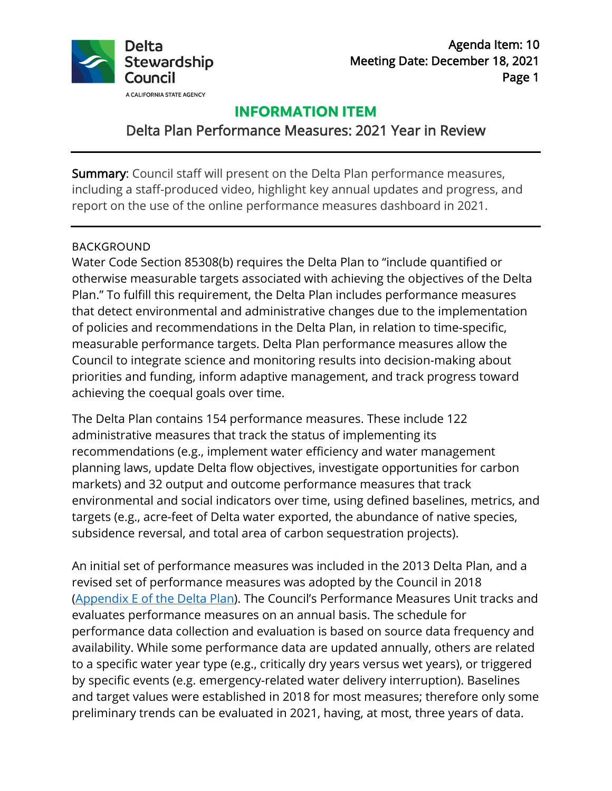

Agenda Item: 10 Meeting Date: December 18, 2021 Page 1

## **INFORMATION ITEM**

# Delta Plan Performance Measures: 2021 Year in Review

Summary: Council staff will present on the Delta Plan performance measures, including a staff-produced video, highlight key annual updates and progress, and report on the use of the online performance measures dashboard in 2021.

#### BACKGROUND

Water Code Section 85308(b) requires the Delta Plan to "include quantified or otherwise measurable targets associated with achieving the objectives of the Delta Plan." To fulfill this requirement, the Delta Plan includes performance measures that detect environmental and administrative changes due to the implementation of policies and recommendations in the Delta Plan, in relation to time-specific, measurable performance targets. Delta Plan performance measures allow the Council to integrate science and monitoring results into decision-making about priorities and funding, inform adaptive management, and track progress toward achieving the coequal goals over time.

The Delta Plan contains 154 performance measures. These include 122 administrative measures that track the status of implementing its recommendations (e.g., implement water efficiency and water management planning laws, update Delta flow objectives, investigate opportunities for carbon markets) and 32 output and outcome performance measures that track environmental and social indicators over time, using defined baselines, metrics, and targets (e.g., acre-feet of Delta water exported, the abundance of native species, subsidence reversal, and total area of carbon sequestration projects).

An initial set of performance measures was included in the 2013 Delta Plan, and a revised set of performance measures was adopted by the Council in 2018 [\(Appendix E of the Delta Plan\)](https://www.deltacouncil.ca.gov/pdf/delta-plan/2018-04-26-amended-appendix-e-performance-measures.pdf). The Council's Performance Measures Unit tracks and evaluates performance measures on an annual basis. The schedule for performance data collection and evaluation is based on source data frequency and availability. While some performance data are updated annually, others are related to a specific water year type (e.g., critically dry years versus wet years), or triggered by specific events (e.g. emergency-related water delivery interruption). Baselines and target values were established in 2018 for most measures; therefore only some preliminary trends can be evaluated in 2021, having, at most, three years of data.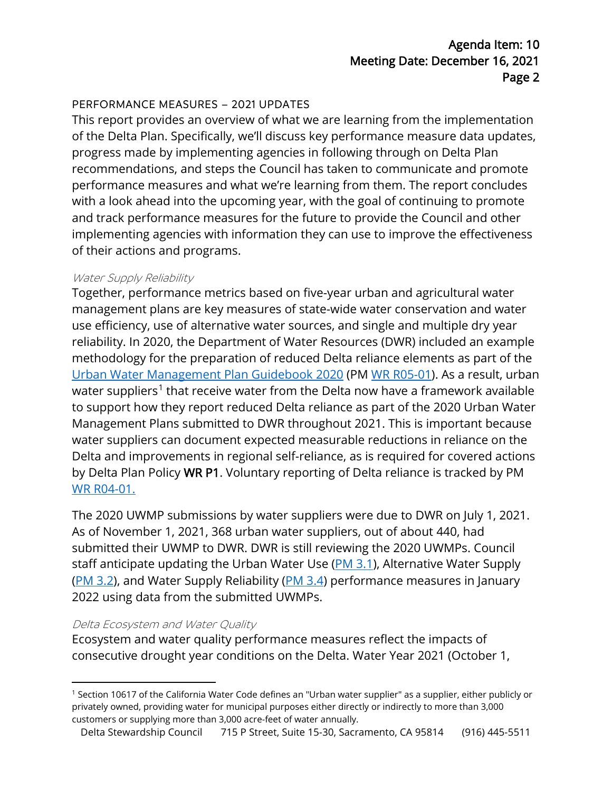### PERFORMANCE MEASURES – 2021 UPDATES

This report provides an overview of what we are learning from the implementation of the Delta Plan. Specifically, we'll discuss key performance measure data updates, progress made by implementing agencies in following through on Delta Plan recommendations, and steps the Council has taken to communicate and promote performance measures and what we're learning from them. The report concludes with a look ahead into the upcoming year, with the goal of continuing to promote and track performance measures for the future to provide the Council and other implementing agencies with information they can use to improve the effectiveness of their actions and programs.

### Water Supply Reliability

Together, performance metrics based on five-year urban and agricultural water management plans are key measures of state-wide water conservation and water use efficiency, use of alternative water sources, and single and multiple dry year reliability. In 2020, the Department of Water Resources (DWR) included an example methodology for the preparation of reduced Delta reliance elements as part of the [Urban Water Management Plan Guidebook 2020](https://water.ca.gov/-/media/DWR-Website/Web-Pages/Programs/Water-Use-And-Efficiency/Urban-Water-Use-Efficiency/Urban-Water-Management-Plans/Final-2020-UWMP-Guidebook/UWMP-Guidebook-2020---Final-032921.pdf) (PM [WR R05-01\)](https://viewperformance.deltacouncil.ca.gov/admin-measure/wr-r05-01). As a result, urban water suppliers<sup>[1](#page-1-0)</sup> that receive water from the Delta now have a framework available to support how they report reduced Delta reliance as part of the 2020 Urban Water Management Plans submitted to DWR throughout 2021. This is important because water suppliers can document expected measurable reductions in reliance on the Delta and improvements in regional self-reliance, as is required for covered actions by Delta Plan Policy WR P1. Voluntary reporting of Delta reliance is tracked by PM [WR R04-01.](https://viewperformance.deltacouncil.ca.gov/admin-measure/wr-r04-01)

The 2020 UWMP submissions by water suppliers were due to DWR on July 1, 2021. As of November 1, 2021, 368 urban water suppliers, out of about 440, had submitted their UWMP to DWR. DWR is still reviewing the 2020 UWMPs. Council staff anticipate updating the Urban Water Use [\(PM 3.1\)](https://viewperformance.deltacouncil.ca.gov/pm/urban-water-use), Alternative Water Supply [\(PM 3.2\)](https://viewperformance.deltacouncil.ca.gov/pm/alternative-water-supply), and Water Supply Reliability [\(PM 3.4\)](https://viewperformance.deltacouncil.ca.gov/pm/water-supply-reliability) performance measures in January 2022 using data from the submitted UWMPs.

#### Delta Ecosystem and Water Quality

Ecosystem and water quality performance measures reflect the impacts of consecutive drought year conditions on the Delta. Water Year 2021 (October 1,

<span id="page-1-0"></span><sup>1</sup> Section 10617 of the California Water Code defines an "Urban water supplier" as a supplier, either publicly or privately owned, providing water for municipal purposes either directly or indirectly to more than 3,000 customers or supplying more than 3,000 acre-feet of water annually.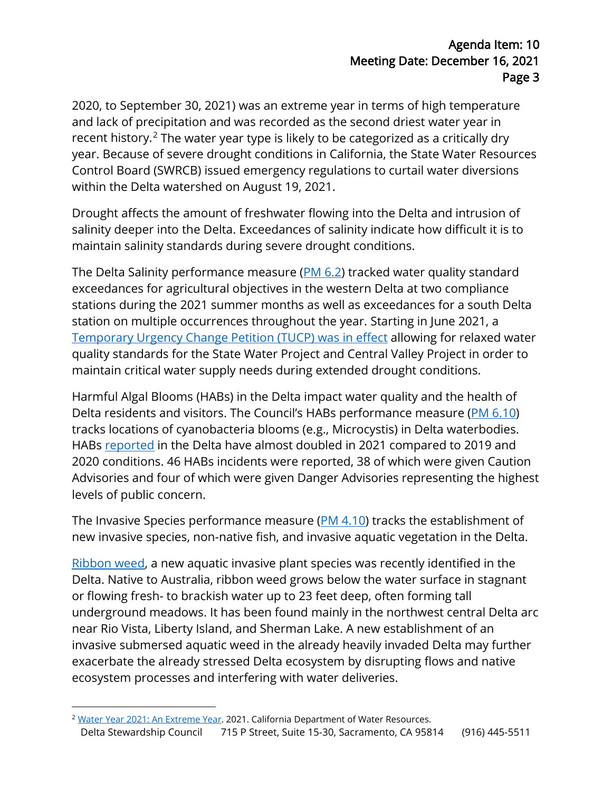2020, to September 30, 2021) was an extreme year in terms of high temperature and lack of precipitation and was recorded as the second driest water year in recent history.<sup>[2](#page-2-0)</sup> The water year type is likely to be categorized as a critically dry year. Because of severe drought conditions in California, the State Water Resources Control Board (SWRCB) issued emergency regulations to curtail water diversions within the Delta watershed on August 19, 2021.

Drought affects the amount of freshwater flowing into the Delta and intrusion of salinity deeper into the Delta. Exceedances of salinity indicate how difficult it is to maintain salinity standards during severe drought conditions.

The Delta Salinity performance measure [\(PM 6.2\)](https://viewperformance.deltacouncil.ca.gov/pm/salinity) tracked water quality standard exceedances for agricultural objectives in the western Delta at two compliance stations during the 2021 summer months as well as exceedances for a south Delta station on multiple occurrences throughout the year. Starting in June 2021, a [Temporary Urgency Change Petition \(TUCP\) was in effect](https://www.waterboards.ca.gov/drought/tucp/) allowing for relaxed water quality standards for the State Water Project and Central Valley Project in order to maintain critical water supply needs during extended drought conditions.

Harmful Algal Blooms (HABs) in the Delta impact water quality and the health of Delta residents and visitors. The Council's HABs performance measure [\(PM 6.10\)](https://viewperformance.deltacouncil.ca.gov/pm/harmful-algal-blooms) tracks locations of cyanobacteria blooms (e.g., Microcystis) in Delta waterbodies. HABs [reported](https://mywaterquality.ca.gov/habs/where/freshwater_events.html) in the Delta have almost doubled in 2021 compared to 2019 and 2020 conditions. 46 HABs incidents were reported, 38 of which were given Caution Advisories and four of which were given Danger Advisories representing the highest levels of public concern.

The Invasive Species performance measure [\(PM 4.10\)](https://viewperformance.deltacouncil.ca.gov/pm/terrestrial-and-aquatic-invasive-species) tracks the establishment of new invasive species, non-native fish, and invasive aquatic vegetation in the Delta.

[Ribbon weed,](https://nrm.dfg.ca.gov/FileHandler.ashx?DocumentID=193687&inline) a new aquatic invasive plant species was recently identified in the Delta. Native to Australia, ribbon weed grows below the water surface in stagnant or flowing fresh- to brackish water up to 23 feet deep, often forming tall underground meadows. It has been found mainly in the northwest central Delta arc near Rio Vista, Liberty Island, and Sherman Lake. A new establishment of an invasive submersed aquatic weed in the already heavily invaded Delta may further exacerbate the already stressed Delta ecosystem by disrupting flows and native ecosystem processes and interfering with water deliveries.

<span id="page-2-0"></span>Delta Stewardship Council 715 P Street, Suite 15-30, Sacramento, CA 95814 (916) 445-5511 <sup>2</sup> [Water Year 2021: An Extreme Year.](https://water.ca.gov/-/media/DWR-Website/Web-Pages/Water-Basics/Drought/Files/Publications-And-Reports/091521-Water-Year-2021-broch_v2.pdf) 2021. California Department of Water Resources.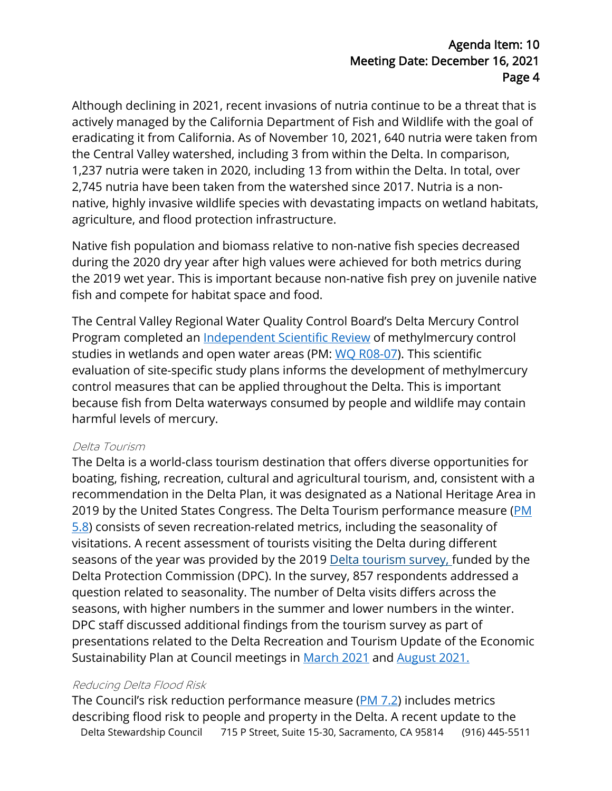## Agenda Item: 10 Meeting Date: December 16, 2021 Page 4

Although declining in 2021, recent invasions of nutria continue to be a threat that is actively managed by the California Department of Fish and Wildlife with the goal of eradicating it from California. As of November 10, 2021, 640 nutria were taken from the Central Valley watershed, including 3 from within the Delta. In comparison, 1,237 nutria were taken in 2020, including 13 from within the Delta. In total, over 2,745 nutria have been taken from the watershed since 2017. Nutria is a nonnative, highly invasive wildlife species with devastating impacts on wetland habitats, agriculture, and flood protection infrastructure.

Native fish population and biomass relative to non-native fish species decreased during the 2020 dry year after high values were achieved for both metrics during the 2019 wet year. This is important because non-native fish prey on juvenile native fish and compete for habitat space and food.

The Central Valley Regional Water Quality Control Board's Delta Mercury Control Program completed an [Independent Scientific Review](https://deltacouncil.ca.gov/delta-science-program/independent-science-review-of-the-delta-mercury-control-program) of methylmercury control studies in wetlands and open water areas (PM: [WQ R08-07\)](https://viewperformance.deltacouncil.ca.gov/admin-measure/wq-r08-07). This scientific evaluation of site-specific study plans informs the development of methylmercury control measures that can be applied throughout the Delta. This is important because fish from Delta waterways consumed by people and wildlife may contain harmful levels of mercury.

#### Delta Tourism

The Delta is a world-class tourism destination that offers diverse opportunities for boating, fishing, recreation, cultural and agricultural tourism, and, consistent with a recommendation in the Delta Plan, it was designated as a National Heritage Area in 2019 by the United States Congress. The Delta Tourism performance measure (PM [5.8\)](https://viewperformance.deltacouncil.ca.gov/pm/delta-tourism) consists of seven recreation-related metrics, including the seasonality of visitations. A recent assessment of tourists visiting the Delta during different seasons of the year was provided by the 2019 [Delta tourism survey, f](http://delta.ca.gov/wp-content/uploads/2020/09/Delta-Recreation-Report-508.pdf)unded by the Delta Protection Commission (DPC). In the survey, 857 respondents addressed a question related to seasonality. The number of Delta visits differs across the seasons, with higher numbers in the summer and lower numbers in the winter. DPC staff discussed additional findings from the tourism survey as part of presentations related to the Delta Recreation and Tourism Update of the Economic Sustainability Plan at Council meetings in [March 2021](https://deltacouncil.ca.gov/pdf/council-meeting/meeting-materials/2021-03-25-item-11-delta-protection-commission-recreation-and-tourism-update-to-the-economic-sustainability-plan.pdf) and [August 2021.](https://deltacouncil.ca.gov/pdf/council-meeting/meeting-materials/2021-08-26-item-8-dpc-esp-staff-report.pdf)

#### Reducing Delta Flood Risk

Delta Stewardship Council 715 P Street, Suite 15-30, Sacramento, CA 95814 (916) 445-5511 The Council's risk reduction performance measure [\(PM 7.2\)](https://viewperformance.deltacouncil.ca.gov/index.php/pm/flood-casualties-and-damages) includes metrics describing flood risk to people and property in the Delta. A recent update to the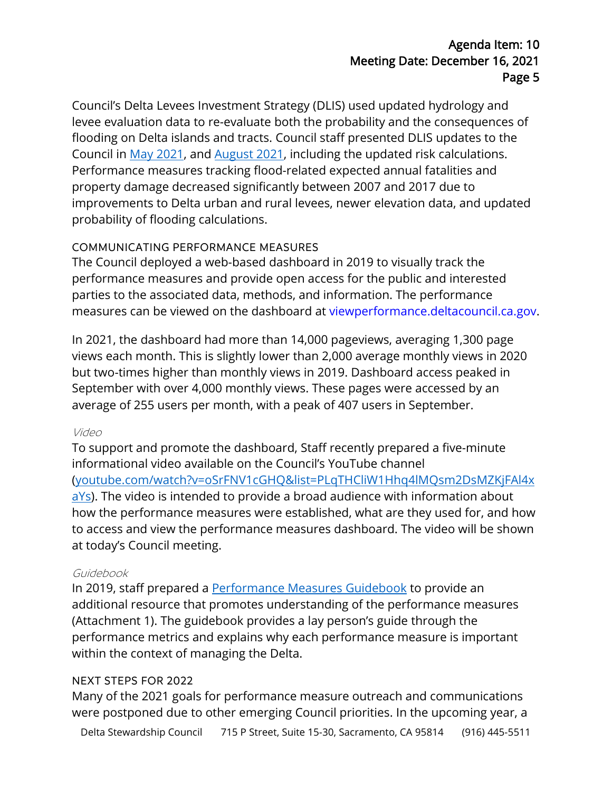## Agenda Item: 10 Meeting Date: December 16, 2021 Page 5

Council's Delta Levees Investment Strategy (DLIS) used updated hydrology and levee evaluation data to re-evaluate both the probability and the consequences of flooding on Delta islands and tracts. Council staff presented DLIS updates to the Council in [May 2021,](https://deltacouncil.ca.gov/pdf/council-meeting/meeting-materials/2021-05-20-21-item-10-dlis-informational-briefing.pdf) and [August 2021,](https://deltacouncil.ca.gov/pdf/council-meeting/meeting-materials/2021-05-20-21-item-10-dlis-informational-briefing.pdf) including the updated risk calculations. Performance measures tracking flood-related expected annual fatalities and property damage decreased significantly between 2007 and 2017 due to improvements to Delta urban and rural levees, newer elevation data, and updated probability of flooding calculations.

## COMMUNICATING PERFORMANCE MEASURES

The Council deployed a web-based dashboard in 2019 to visually track the performance measures and provide open access for the public and interested parties to the associated data, methods, and information. The performance measures can be viewed on the dashboard at viewperformance.deltacouncil.ca.gov.

In 2021, the dashboard had more than 14,000 pageviews, averaging 1,300 page views each month. This is slightly lower than 2,000 average monthly views in 2020 but two-times higher than monthly views in 2019. Dashboard access peaked in September with over 4,000 monthly views. These pages were accessed by an average of 255 users per month, with a peak of 407 users in September.

#### Video

To support and promote the dashboard, Staff recently prepared a five-minute informational video available on the Council's YouTube channel [\(youtube.com/watch?v=oSrFNV1cGHQ&list=PLqTHCliW1Hhq4lMQsm2DsMZKjFAl4x](https://www.youtube.com/watch?v=oSrFNV1cGHQ&list=PLqTHCliW1Hhq4lMQsm2DsMZKjFAl4xaYs) [aYs\)](https://www.youtube.com/watch?v=oSrFNV1cGHQ&list=PLqTHCliW1Hhq4lMQsm2DsMZKjFAl4xaYs). The video is intended to provide a broad audience with information about how the performance measures were established, what are they used for, and how to access and view the performance measures dashboard. The video will be shown at today's Council meeting.

#### Guidebook

In 2019, staff prepared a [Performance Measures Guidebook](https://deltacouncil.ca.gov/pdf/delta-plan/2020-12-09-delta-performance-measures-guidebook.pdf) to provide an additional [resource that promotes understanding of the performance measures](https://deltacouncil.ca.gov/pdf/delta-plan/2020-12-09-delta-performance-measures-guidebook.pdf) [\(Attachment 1\). The guidebook](https://deltacouncil.ca.gov/pdf/delta-plan/2020-12-09-delta-performance-measures-guidebook.pdf) provides a lay person's guide through the performance metrics and explains why each performance measure is important within the context of managing the Delta.

#### NEXT STEPS FOR 2022

Many of the 2021 goals for performance measure outreach and communications were postponed due to other emerging Council priorities. In the upcoming year, a

Delta Stewardship Council 715 P Street, Suite 15-30, Sacramento, CA 95814 (916) 445-5511